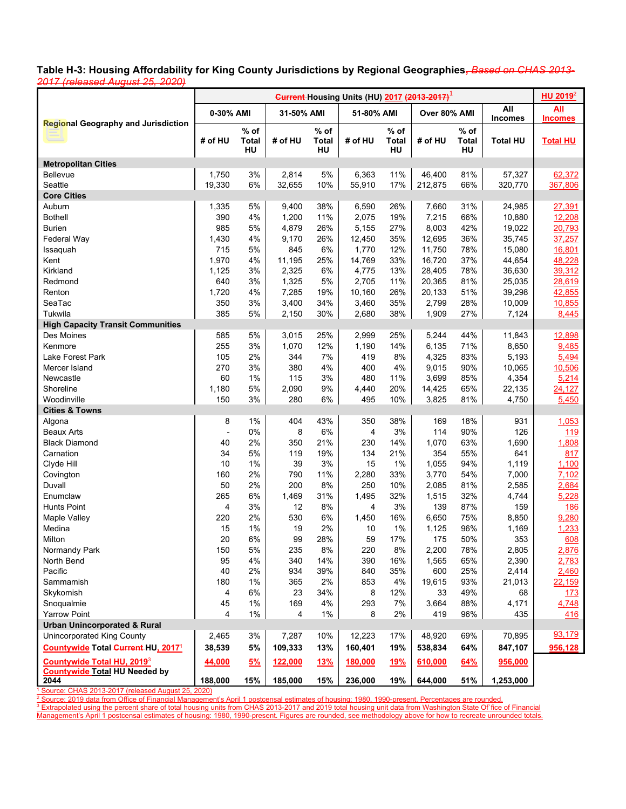言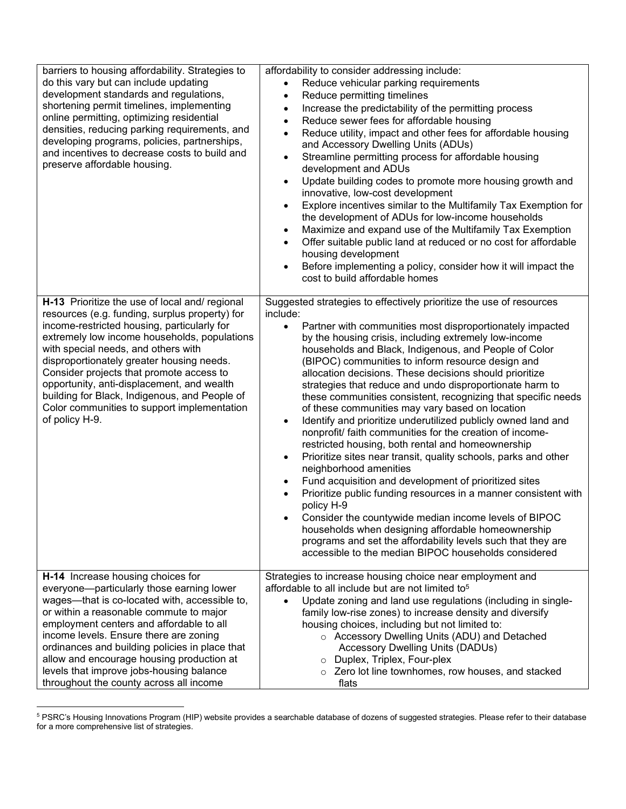| barriers to housing affordability. Strategies to<br>do this vary but can include updating<br>development standards and regulations,<br>shortening permit timelines, implementing<br>online permitting, optimizing residential<br>densities, reducing parking requirements, and<br>developing programs, policies, partnerships,<br>and incentives to decrease costs to build and<br>preserve affordable housing.                                                                                 | affordability to consider addressing include:<br>Reduce vehicular parking requirements<br>Reduce permitting timelines<br>$\bullet$<br>Increase the predictability of the permitting process<br>$\bullet$<br>Reduce sewer fees for affordable housing<br>$\bullet$<br>Reduce utility, impact and other fees for affordable housing<br>and Accessory Dwelling Units (ADUs)<br>Streamline permitting process for affordable housing<br>$\bullet$<br>development and ADUs<br>Update building codes to promote more housing growth and<br>$\bullet$<br>innovative, low-cost development<br>Explore incentives similar to the Multifamily Tax Exemption for<br>$\bullet$<br>the development of ADUs for low-income households<br>Maximize and expand use of the Multifamily Tax Exemption<br>$\bullet$<br>Offer suitable public land at reduced or no cost for affordable<br>housing development<br>Before implementing a policy, consider how it will impact the<br>cost to build affordable homes                                                                                                                                                                                                                                                                                      |
|-------------------------------------------------------------------------------------------------------------------------------------------------------------------------------------------------------------------------------------------------------------------------------------------------------------------------------------------------------------------------------------------------------------------------------------------------------------------------------------------------|------------------------------------------------------------------------------------------------------------------------------------------------------------------------------------------------------------------------------------------------------------------------------------------------------------------------------------------------------------------------------------------------------------------------------------------------------------------------------------------------------------------------------------------------------------------------------------------------------------------------------------------------------------------------------------------------------------------------------------------------------------------------------------------------------------------------------------------------------------------------------------------------------------------------------------------------------------------------------------------------------------------------------------------------------------------------------------------------------------------------------------------------------------------------------------------------------------------------------------------------------------------------------------|
| H-13 Prioritize the use of local and/ regional<br>resources (e.g. funding, surplus property) for<br>income-restricted housing, particularly for<br>extremely low income households, populations<br>with special needs, and others with<br>disproportionately greater housing needs.<br>Consider projects that promote access to<br>opportunity, anti-displacement, and wealth<br>building for Black, Indigenous, and People of<br>Color communities to support implementation<br>of policy H-9. | Suggested strategies to effectively prioritize the use of resources<br>include:<br>$\bullet$<br>Partner with communities most disproportionately impacted<br>by the housing crisis, including extremely low-income<br>households and Black, Indigenous, and People of Color<br>(BIPOC) communities to inform resource design and<br>allocation decisions. These decisions should prioritize<br>strategies that reduce and undo disproportionate harm to<br>these communities consistent, recognizing that specific needs<br>of these communities may vary based on location<br>Identify and prioritize underutilized publicly owned land and<br>$\bullet$<br>nonprofit/ faith communities for the creation of income-<br>restricted housing, both rental and homeownership<br>Prioritize sites near transit, quality schools, parks and other<br>$\bullet$<br>neighborhood amenities<br>Fund acquisition and development of prioritized sites<br>$\bullet$<br>Prioritize public funding resources in a manner consistent with<br>policy H-9<br>Consider the countywide median income levels of BIPOC<br>households when designing affordable homeownership<br>programs and set the affordability levels such that they are<br>accessible to the median BIPOC households considered |
| H-14 Increase housing choices for<br>everyone-particularly those earning lower<br>wages-that is co-located with, accessible to,<br>or within a reasonable commute to major<br>employment centers and affordable to all<br>income levels. Ensure there are zoning<br>ordinances and building policies in place that<br>allow and encourage housing production at<br>levels that improve jobs-housing balance<br>throughout the county across all income                                          | Strategies to increase housing choice near employment and<br>affordable to all include but are not limited to <sup>5</sup><br>Update zoning and land use regulations (including in single-<br>family low-rise zones) to increase density and diversify<br>housing choices, including but not limited to:<br>○ Accessory Dwelling Units (ADU) and Detached<br><b>Accessory Dwelling Units (DADUs)</b><br>O Duplex, Triplex, Four-plex<br>o Zero lot line townhomes, row houses, and stacked<br>flats                                                                                                                                                                                                                                                                                                                                                                                                                                                                                                                                                                                                                                                                                                                                                                                |

<span id="page-29-0"></span><sup>5</sup> PSRC's Housing Innovations Program (HIP) website provides a searchable database of dozens of suggested strategies. Please refer to their database for a more comprehensive list of strategies.